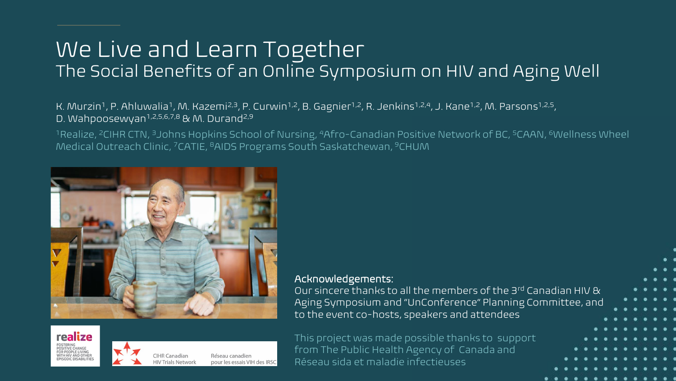### We Live and Learn Together The Social Benefits of an Online Symposium on HIV and Aging Well

#### K. Murzin<sup>1</sup>, P. Ahluwalia<sup>1</sup>, M. Kazemi<sup>2,3</sup>, P. Curwin<sup>1,2</sup>, B. Gagnier<sup>1,2</sup>, R. Jenkins<sup>1,2,4</sup>, J. Kane<sup>1,2</sup>, M. Parsons<sup>1,2,5</sup>, D. Wahpoosewyan<sup>1,2,5,6,7,8</sup> & M. Durand<sup>2,9</sup>

<sup>1</sup>Realize, <sup>2</sup>CIHR CTN, <sup>3</sup>Johns Hopkins School of Nursing, <sup>4</sup>Afro-Canadian Positive Network of BC, <sup>5</sup>CAAN, <sup>6</sup>Wellness Wheel Medical Outreach Clinic, <sup>7</sup>CATIE, <sup>8</sup>AIDS Programs South Saskatchewan, <sup>9</sup>CHUM





CIHR Canadian Réseau canadien pour les essais VIH des IRSC **HIV Trials Network** 

Acknowledgements:

Our sincere thanks to all the members of the 3rd Canadian HIV & Aging Symposium and "UnConference" Planning Committee, and to the event co-hosts, speakers and attendees

This project was made possible thanks to support from The Public Health Agency of Canada and Réseau sida et maladie infectieuses

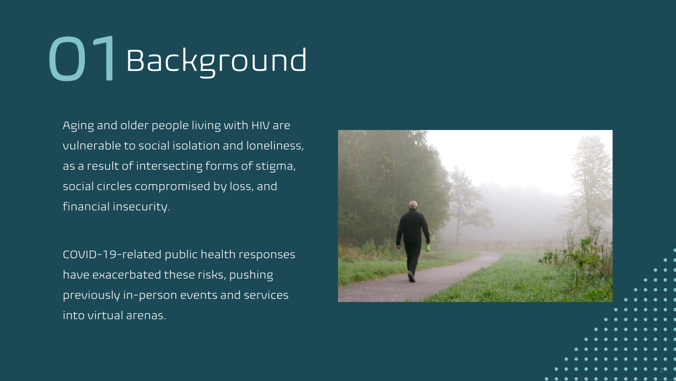# 01 Background

Aging and older people living with HIV are vulnerable to social isolation and loneliness, as a result of intersecting forms of stigma, social circles compromised by loss, and financial insecurity.

COVID -19 -related public health responses have exacerbated these risks, pushing previously in -person events and services into virtual arenas.



2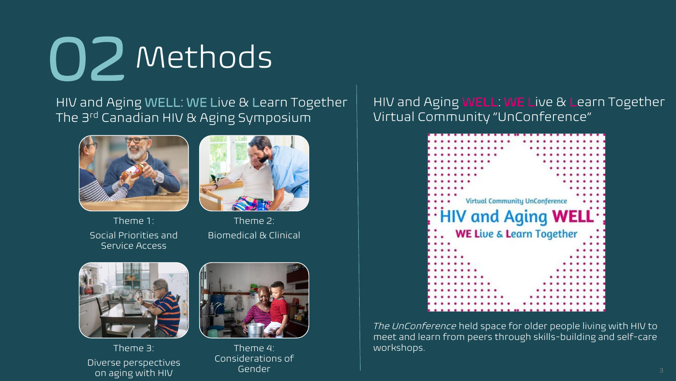

HIV and Aging WELL: WE Live & Learn Together The 3rd Canadian HIV & Aging Symposium





Theme 1: Social Priorities and Service Access

Theme 2: Biomedical & Clinical



Theme 3: Diverse perspectives on aging with HIV



Theme 4: Considerations of Gender

#### HIV and Aging WELL: WE Live & Learn Together Virtual Community "UnConference"



*The UnConference* held space for older people living with HIV to meet and learn from peers through skills-building and self-care workshops.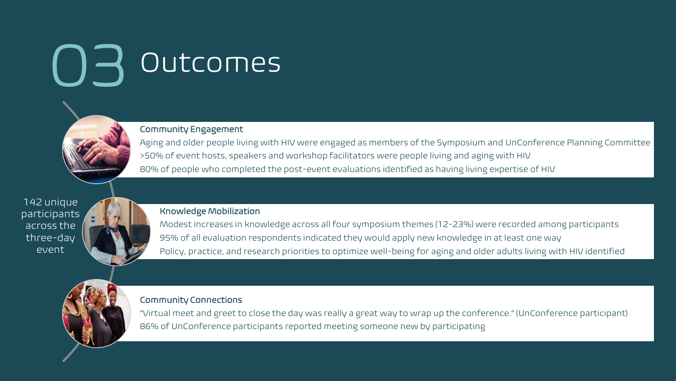### 03 Outcomes



Community Engagement Aging and older people living with HIV were engaged as members of the Symposium and UnConference Planning Committee >50% of event hosts, speakers and workshop facilitators were people living and aging with HIV 80% of people who completed the post-event evaluations identified as having living expertise of HIV

142 unique participants across the three-day event



Modest increases in knowledge across all four symposium themes (12-23%) were recorded among participants 95% of all evaluation respondents indicated they would apply new knowledge in at least one way Policy, practice, and research priorities to optimize well-being for aging and older adults living with HIV identified

Community Connections

"Virtual meet and greet to close the day was really a great way to wrap up the conference." (UnConference participant) 86% of UnConference participants reported meeting someone new by participating